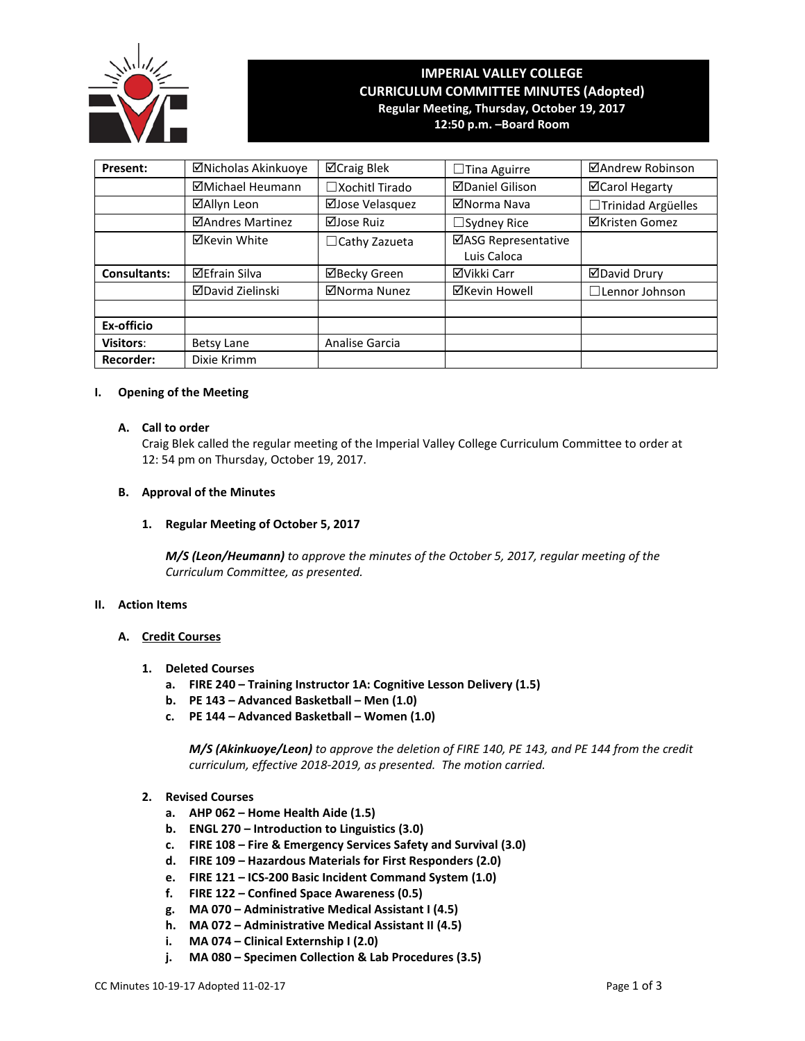

# **IMPERIAL VALLEY COLLEGE CURRICULUM COMMITTEE MINUTES (Adopted) Regular Meeting, Thursday, October 19, 2017 12:50 p.m. –Board Room**

**Present:** │ ⊠Nicholas Akinkuoye │ ⊠Craig Blek │ □Tina Aguirre │ ⊠Andrew Robinson ☑Michael Heumann │ □Xochitl Tirado │ ☑Daniel Gilison │ │ ØCarol Hegarty **⊠Allyn Leon** | ⊠Jose Velasquez | ⊠Norma Nava | □Trinidad Argüelles ☑Andres Martinez │ ☑Jose Ruiz │ □Sydney Rice │ ØKristen Gomez  $\boxtimes$ Kevin White  $\Box$ Cathy Zazueta  $\Box$ ASG Representative Luis Caloca **Consultants:** 区Efrain Silva | ØBecky Green | ØVikki Carr | ØDavid Drury **ØDavid Zielinski** │ ØNorma Nunez │ ØKevin Howell │ □Lennor Johnson **Ex-officio Visitors:** Betsy Lane Analise Garcia **Recorder:** Dixie Krimm

#### **I. Opening of the Meeting**

# **A. Call to order**

Craig Blek called the regular meeting of the Imperial Valley College Curriculum Committee to order at 12: 54 pm on Thursday, October 19, 2017.

# **B. Approval of the Minutes**

# **1. Regular Meeting of October 5, 2017**

*M/S (Leon/Heumann) to approve the minutes of the October 5, 2017, regular meeting of the Curriculum Committee, as presented.* 

#### **II. Action Items**

# **A. Credit Courses**

- **1. Deleted Courses**
	- **a. FIRE 240 – Training Instructor 1A: Cognitive Lesson Delivery (1.5)**
	- **b. PE 143 – Advanced Basketball – Men (1.0)**
	- **c. PE 144 – Advanced Basketball – Women (1.0)**

*M/S (Akinkuoye/Leon) to approve the deletion of FIRE 140, PE 143, and PE 144 from the credit curriculum, effective 2018-2019, as presented. The motion carried.*

- **2. Revised Courses**
	- **a. AHP 062 – Home Health Aide (1.5)**
	- **b. ENGL 270 – Introduction to Linguistics (3.0)**
	- **c. FIRE 108 – Fire & Emergency Services Safety and Survival (3.0)**
	- **d. FIRE 109 – Hazardous Materials for First Responders (2.0)**
	- **e. FIRE 121 – ICS-200 Basic Incident Command System (1.0)**
	- **f. FIRE 122 – Confined Space Awareness (0.5)**
	- **g. MA 070 – Administrative Medical Assistant I (4.5)**
	- **h. MA 072 – Administrative Medical Assistant II (4.5)**
	- **i. MA 074 – Clinical Externship I (2.0)**
	- **j. MA 080 – Specimen Collection & Lab Procedures (3.5)**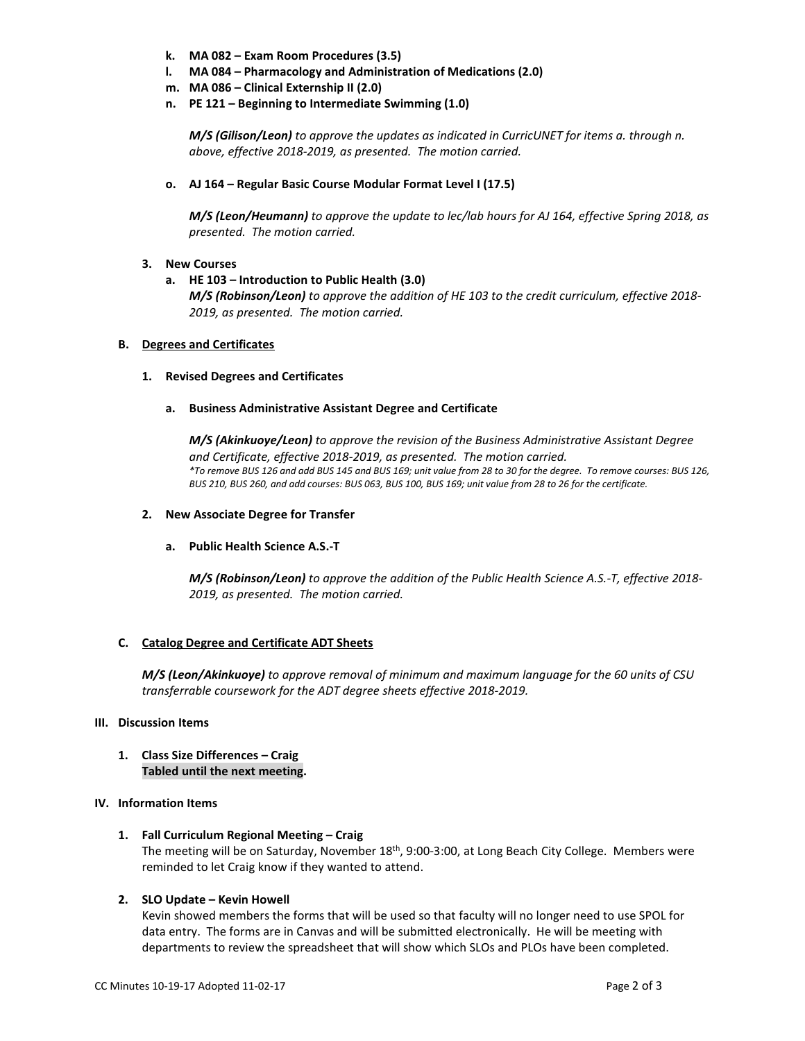- **k. MA 082 – Exam Room Procedures (3.5)**
- **l. MA 084 – Pharmacology and Administration of Medications (2.0)**
- **m. MA 086 – Clinical Externship II (2.0)**
- **n. PE 121 – Beginning to Intermediate Swimming (1.0)**

*M/S (Gilison/Leon) to approve the updates as indicated in CurricUNET for items a. through n. above, effective 2018-2019, as presented. The motion carried.*

**o. AJ 164 – Regular Basic Course Modular Format Level I (17.5)**

*M/S (Leon/Heumann) to approve the update to lec/lab hours for AJ 164, effective Spring 2018, as presented. The motion carried.*

# **3. New Courses**

**a. HE 103 – Introduction to Public Health (3.0)** *M/S (Robinson/Leon) to approve the addition of HE 103 to the credit curriculum, effective 2018- 2019, as presented. The motion carried.*

#### **B. Degrees and Certificates**

#### **1. Revised Degrees and Certificates**

**a. Business Administrative Assistant Degree and Certificate**

*M/S (Akinkuoye/Leon) to approve the revision of the Business Administrative Assistant Degree and Certificate, effective 2018-2019, as presented. The motion carried. \*To remove BUS 126 and add BUS 145 and BUS 169; unit value from 28 to 30 for the degree. To remove courses: BUS 126, BUS 210, BUS 260, and add courses: BUS 063, BUS 100, BUS 169; unit value from 28 to 26 for the certificate.*

### **2. New Associate Degree for Transfer**

#### **a. Public Health Science A.S.-T**

*M/S (Robinson/Leon) to approve the addition of the Public Health Science A.S.-T, effective 2018- 2019, as presented. The motion carried.*

# **C. Catalog Degree and Certificate ADT Sheets**

*M/S (Leon/Akinkuoye) to approve removal of minimum and maximum language for the 60 units of CSU transferrable coursework for the ADT degree sheets effective 2018-2019.*

# **III. Discussion Items**

**1. Class Size Differences – Craig Tabled until the next meeting.**

# **IV. Information Items**

**1. Fall Curriculum Regional Meeting – Craig**

The meeting will be on Saturday, November 18<sup>th</sup>, 9:00-3:00, at Long Beach City College. Members were reminded to let Craig know if they wanted to attend.

#### **2. SLO Update – Kevin Howell**

Kevin showed members the forms that will be used so that faculty will no longer need to use SPOL for data entry. The forms are in Canvas and will be submitted electronically. He will be meeting with departments to review the spreadsheet that will show which SLOs and PLOs have been completed.